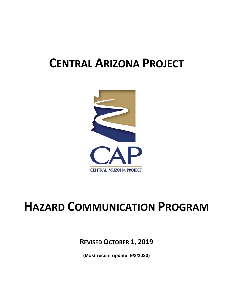# **CENTRAL ARIZONA PROJECT**



# **HAZARD COMMUNICATION PROGRAM**

**REVISED OCTOBER 1, 2019**

**(Most recent update: 9/3/2020)**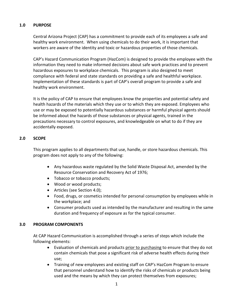## **1.0 PURPOSE**

Central Arizona Project (CAP) has a commitment to provide each of its employees a safe and healthy work environment. When using chemicals to do their work, it is important that workers are aware of the identity and toxic or hazardous properties of those chemicals.

CAP's Hazard Communication Program (HazCom) is designed to provide the employee with the information they need to make informed decisions about safe work practices and to prevent hazardous exposures to workplace chemicals. This program is also designed to meet compliance with federal and state standards on providing a safe and healthful workplace. Implementation of these standards is part of CAP's overall program to provide a safe and healthy work environment.

It is the policy of CAP to ensure that employees know the properties and potential safety and health hazards of the materials which they use or to which they are exposed. Employees who use or may be exposed to potentially hazardous substances or harmful physical agents should be informed about the hazards of those substances or physical agents, trained in the precautions necessary to control exposures, and knowledgeable on what to do if they are accidentally exposed.

# **2.0 SCOPE**

This program applies to all departments that use, handle, or store hazardous chemicals. This program does not apply to any of the following:

- Any hazardous waste regulated by the Solid Waste Disposal Act, amended by the Resource Conservation and Recovery Act of 1976;
- Tobacco or tobacco products;
- Wood or wood products;
- Articles (see Section 4.0);
- Food, drugs, or cosmetics intended for personal consumption by employees while in the workplace; and
- Consumer products used as intended by the manufacturer and resulting in the same duration and frequency of exposure as for the typical consumer.

## **3.0 PROGRAM COMPONENTS**

At CAP Hazard Communication is accomplished through a series of steps which include the following elements:

- Evaluation of chemicals and products prior to purchasing to ensure that they do not contain chemicals that pose a significant risk of adverse health effects during their use;
- Training of new employees and existing staff on CAP's HazCom Program to ensure that personnel understand how to identify the risks of chemicals or products being used and the means by which they can protect themselves from exposures;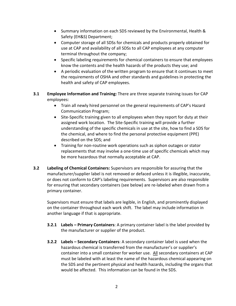- Summary information on each SDS reviewed by the Environmental, Health & Safety (EH&S) Department;
- Computer storage of all SDSs for chemicals and products properly obtained for use at CAP and availability of all SDSs to all CAP employees at any computer terminal throughout the company;
- Specific labeling requirements for chemical containers to ensure that employees know the contents and the health hazards of the products they use; and
- A periodic evaluation of the written program to ensure that it continues to meet the requirements of OSHA and other standards and guidelines in protecting the health and safety of CAP employees.
- **3.1 Employee Information and Training:** There are three separate training issues for CAP employees:
	- Train all newly hired personnel on the general requirements of CAP's Hazard Communication Program;
	- Site-Specific training given to all employees when they report for duty at their assigned work location. The Site-Specific training will provide a further understanding of the specific chemicals in use at the site, how to find a SDS for the chemical, and where to find the personal protective equipment (PPE) described on the SDS; and
	- Training for non-routine work operations such as siphon outages or stator replacements that may involve a one-time use of specific chemicals which may be more hazardous that normally acceptable at CAP.
- **3.2 Labeling of Chemical Containers:** Supervisors are responsible for assuring that the manufacturer/supplier label is not removed or defaced unless it is illegible, inaccurate, or does not conform to CAP's labeling requirements. Supervisors are also responsible for ensuring that secondary containers (see below) are re-labeled when drawn from a primary container.

Supervisors must ensure that labels are legible, in English, and prominently displayed on the container throughout each work shift. The label may include information in another language if that is appropriate.

- **3.2.1 Labels – Primary Containers**: A primary container label is the label provided by the manufacturer or supplier of the product.
- **3.2.2 Labels – Secondary Containers**: A secondary container label is used when the hazardous chemical is transferred from the manufacturer's or supplier's container into a small container for worker use. All secondary containers at CAP must be labeled with at least the name of the hazardous chemical appearing on the SDS and the pertinent physical and health hazards, including the organs that would be affected. This information can be found in the SDS.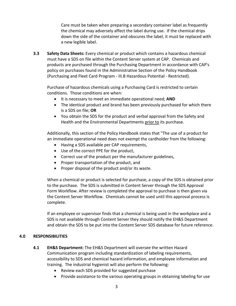Care must be taken when preparing a secondary container label as frequently the chemical may adversely affect the label during use. If the chemical drips down the side of the container and obscures the label, it must be replaced with a new legible label.

**3.3 Safety Data Sheets:** Every chemical or product which contains a hazardous chemical must have a SDS on file within the Content Server system at CAP. Chemicals and products are purchased through the Purchasing Department in accordance with CAP's policy on purchases found in the Administrative Section of the Policy Handbook (Purchasing and Fleet Card Program - III.B Hazardous Potential - Restricted).

Purchase of hazardous chemicals using a Purchasing Card is restricted to certain conditions. Those conditions are when:

- It is necessary to meet an immediate operational need; **AND**
- The identical product and brand has been previously purchased for which there is a SDS on file; **OR**
- You obtain the SDS for the product and verbal approval from the Safety and Health and the Environmental Departments prior to its purchase.

Additionally, this section of the Policy Handbook states that "The use of a product for an immediate operational need does not exempt the cardholder from the following:

- Having a SDS available per CAP requirements,
- Use of the correct PPE for the product,
- Correct use of the product per the manufacturer guidelines,
- Proper transportation of the product, and
- Proper disposal of the product and/or its waste.

When a chemical or product is selected for purchase, a copy of the SDS is obtained prior to the purchase. The SDS is submitted in Content Server through the SDS Approval Form Workflow. After review is completed the approval to purchase is then given via the Content Server Workflow. Chemicals cannot be used until this approval process is complete.

If an employee or supervisor finds that a chemical is being used in the workplace and a SDS is not available through Content Server they should notify the EH&S Department and obtain the SDS to be put into the Content Server SDS database for future reference.

## **4.0 RESPONSIBILITIES**

- **4.1 EH&S Department:** The EH&S Department will oversee the written Hazard Communication program including standardization of labeling requirements, accessibility to SDS and chemical hazard information, and employee information and training. The industrial hygienist will also perform the following:
	- Review each SDS provided for suggested purchase
	- Provide assistance to the various operating groups in obtaining labeling for use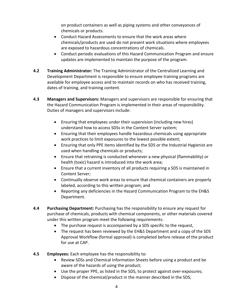on product containers as well as piping systems and other conveyances of chemicals or products.

- Conduct Hazard Assessments to ensure that the work areas where chemicals/products are used do not present work situations where employees are exposed to hazardous concentrations of chemicals.
- Conduct periodic evaluations of this Hazard Communication Program and ensure updates are implemented to maintain the purpose of the program.
- **4.2 Training Administrator:** The Training Administrator of the Centralized Learning and Development Department is responsible to ensure employee training programs are available for employee access and to maintain records on who has received training, dates of training, and training content.
- **4.3 Managers and Supervisors:** Managers and supervisors are responsible for ensuring that the Hazard Communication Program is implemented in their areas of responsibility. Duties of managers and supervisors include:
	- Ensuring that employees under their supervision (including new hires) understand how to access SDSs in the Content Server system;
	- Ensuring that their employees handle hazardous chemicals using appropriate work practices to limit exposures to the lowest possible extent;
	- Ensuring that only PPE items identified by the SDS or the Industrial Hygienist are used when handling chemicals or products;
	- Ensure that retraining is conducted whenever a new physical (flammability) or health (toxic) hazard is introduced into the work area;
	- Ensure that a current inventory of all products requiring a SDS is maintained in Content Server;
	- Continually observe work areas to ensure that chemical containers are properly labeled, according to this written program; and
	- Reporting any deficiencies in the Hazard Communication Program to the EH&S Department.
- **4.4 Purchasing Department:** Purchasing has the responsibility to ensure any request for purchase of chemicals, products with chemical components, or other materials covered under this written program meet the following requirements:
	- The purchase request is accompanied by a SDS specific to the request,
	- The request has been reviewed by the EH&S Department and a copy of the SDS Approval Workflow (formal approval) is completed before release of the product for use at CAP.
- **4.5 Employees:** Each employee has the responsibility to:
	- Review SDSs and Chemical Information Sheets before using a product and be aware of the hazards of using the product;
	- Use the proper PPE, as listed in the SDS, to protect against over-exposures;
	- Dispose of the chemical/product in the manner described in the SDS;